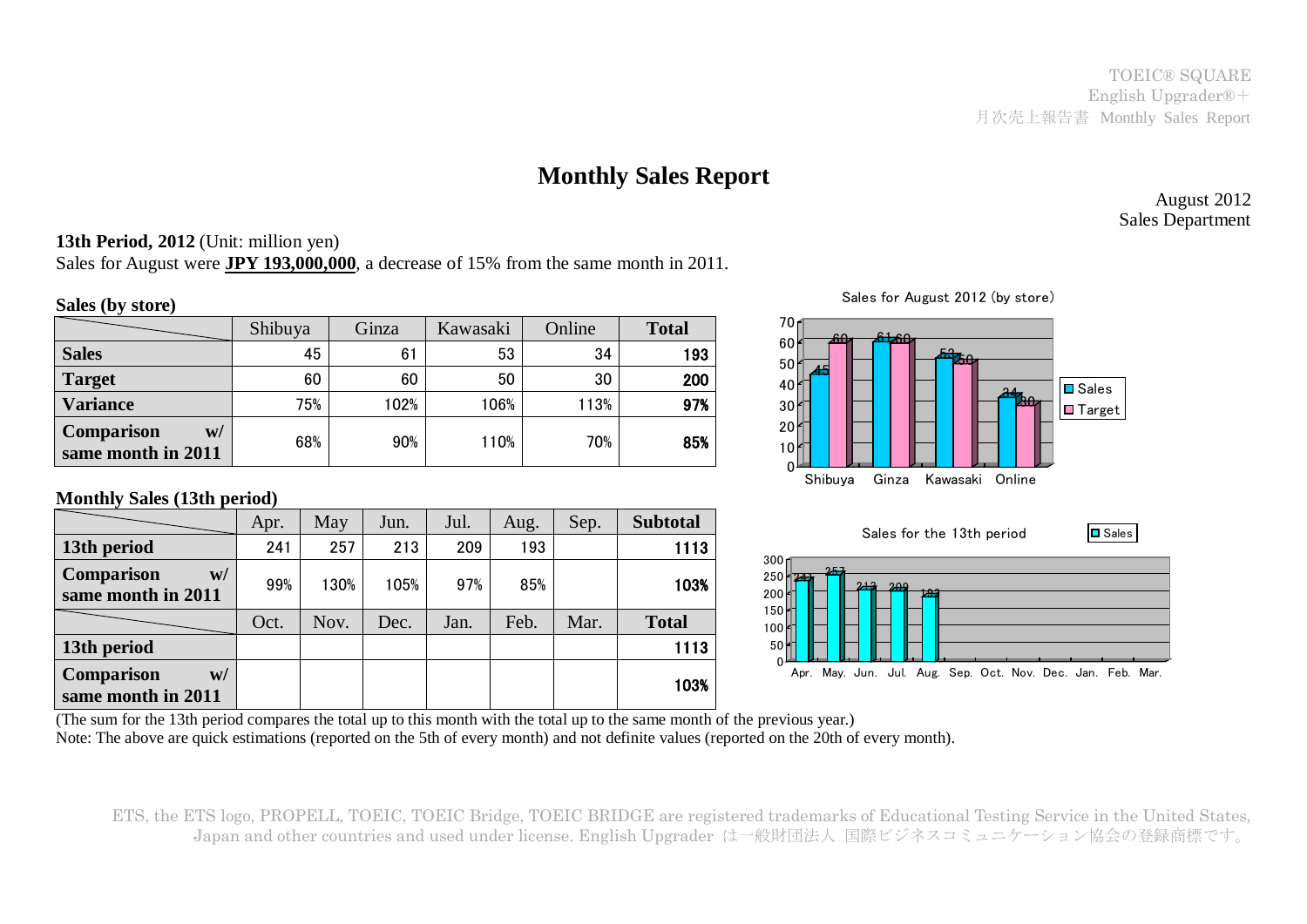TOEIC® SQUARE English Upgrader®+ 月次売上報告書 Monthly Sales Report

# **Monthly Sales Report**

August 2012 Sales Department

### **13th Period, 2012** (Unit: million yen)

Sales for August were **JPY 193,000,000**, a decrease of 15% from the same month in 2011.

#### **Sales (by store)**

|                                               | Shibuya | Ginza | Kawasaki | Online | <b>Total</b> |
|-----------------------------------------------|---------|-------|----------|--------|--------------|
| <b>Sales</b>                                  | 45      | 61    | 53       | 34     | 193          |
| <b>Target</b>                                 | 60      | 60    | 50       | 30     | 200          |
| <b>Variance</b>                               | 75%     | 102%  | 106%     | 113%   | 97%          |
| <b>Comparison</b><br>W/<br>same month in 2011 | 68%     | 90%   | 110%     | 70%    | 85%          |

#### **Monthly Sales (13th period)**

|                                               | Apr. | May  | Jun. | Jul. | Aug. | Sep. | <b>Subtotal</b> |
|-----------------------------------------------|------|------|------|------|------|------|-----------------|
| 13th period                                   | 241  | 257  | 213  | 209  | 193  |      | 1113            |
| <b>Comparison</b><br>W/<br>same month in 2011 | 99%  | 130% | 105% | 97%  | 85%  |      | 103%            |
|                                               | Oct. | Nov. | Dec. | Jan. | Feb. | Mar. | <b>Total</b>    |
| 13th period                                   |      |      |      |      |      |      | 1113            |
| <b>Comparison</b><br>W/<br>same month in 2011 |      |      |      |      |      |      | 103%            |



Sales for August 2012 (by store)

(The sum for the 13th period compares the total up to this month with the total up to the same month of the previous year.) Note: The above are quick estimations (reported on the 5th of every month) and not definite values (reported on the 20th of every month).

ETS, the ETS logo, PROPELL, TOEIC, TOEIC Bridge, TOEIC BRIDGE are registered trademarks of Educational Testing Service in the United States, Japan and other countries and used under license. English Upgrader は一般財団法人 国際ビジネスコミュニケーション協会の登録商標です。